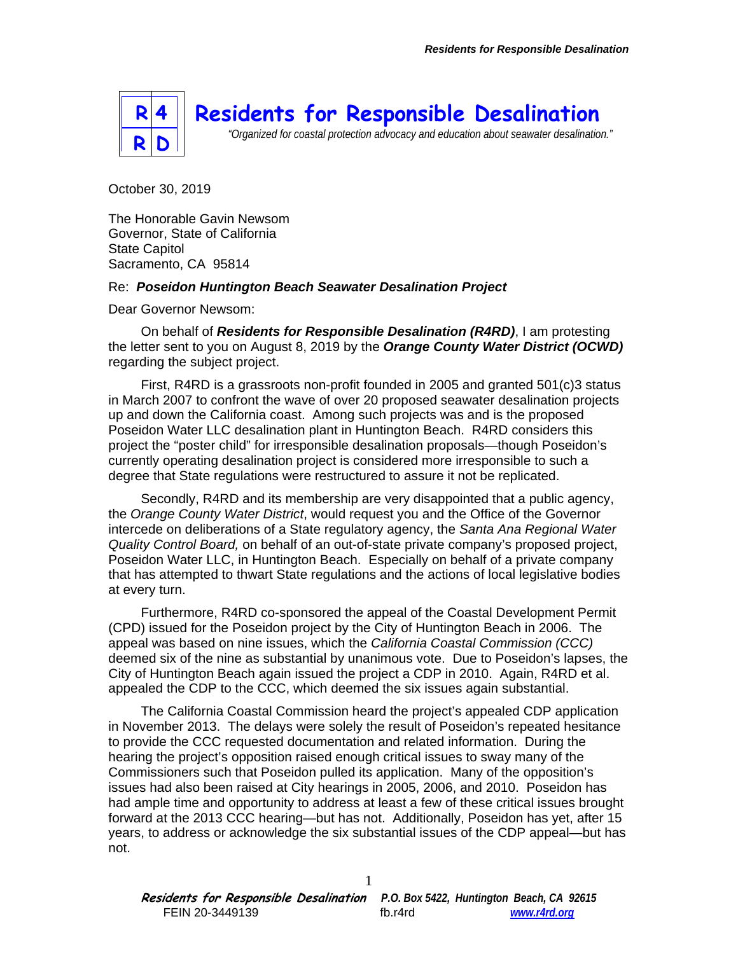

October 30, 2019

The Honorable Gavin Newsom Governor, State of California State Capitol Sacramento, CA 95814

## Re: *Poseidon Huntington Beach Seawater Desalination Project*

Dear Governor Newsom:

On behalf of *Residents for Responsible Desalination (R4RD)*, I am protesting the letter sent to you on August 8, 2019 by the *Orange County Water District (OCWD)* regarding the subject project.

First, R4RD is a grassroots non-profit founded in 2005 and granted 501(c)3 status in March 2007 to confront the wave of over 20 proposed seawater desalination projects up and down the California coast. Among such projects was and is the proposed Poseidon Water LLC desalination plant in Huntington Beach. R4RD considers this project the "poster child" for irresponsible desalination proposals—though Poseidon's currently operating desalination project is considered more irresponsible to such a degree that State regulations were restructured to assure it not be replicated.

Secondly, R4RD and its membership are very disappointed that a public agency, the *Orange County Water District*, would request you and the Office of the Governor intercede on deliberations of a State regulatory agency, the *Santa Ana Regional Water Quality Control Board,* on behalf of an out-of-state private company's proposed project, Poseidon Water LLC, in Huntington Beach. Especially on behalf of a private company that has attempted to thwart State regulations and the actions of local legislative bodies at every turn.

Furthermore, R4RD co-sponsored the appeal of the Coastal Development Permit (CPD) issued for the Poseidon project by the City of Huntington Beach in 2006. The appeal was based on nine issues, which the *California Coastal Commission (CCC)* deemed six of the nine as substantial by unanimous vote. Due to Poseidon's lapses, the City of Huntington Beach again issued the project a CDP in 2010. Again, R4RD et al. appealed the CDP to the CCC, which deemed the six issues again substantial.

The California Coastal Commission heard the project's appealed CDP application in November 2013. The delays were solely the result of Poseidon's repeated hesitance to provide the CCC requested documentation and related information. During the hearing the project's opposition raised enough critical issues to sway many of the Commissioners such that Poseidon pulled its application. Many of the opposition's issues had also been raised at City hearings in 2005, 2006, and 2010. Poseidon has had ample time and opportunity to address at least a few of these critical issues brought forward at the 2013 CCC hearing—but has not. Additionally, Poseidon has yet, after 15 years, to address or acknowledge the six substantial issues of the CDP appeal—but has not.